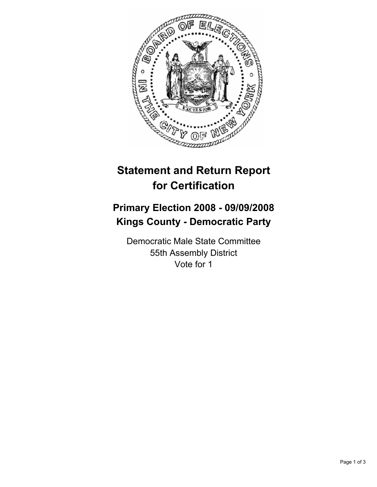

# **Statement and Return Report for Certification**

## **Primary Election 2008 - 09/09/2008 Kings County - Democratic Party**

Democratic Male State Committee 55th Assembly District Vote for 1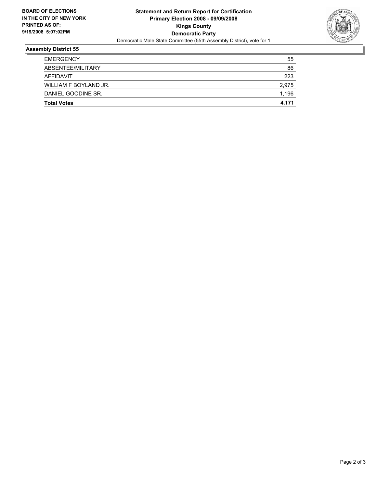

### **Assembly District 55**

| <b>EMERGENCY</b>      | 55    |
|-----------------------|-------|
| ABSENTEE/MILITARY     | 86    |
| AFFIDAVIT             | 223   |
| WILLIAM F BOYLAND JR. | 2,975 |
| DANIEL GOODINE SR.    | 1,196 |
| <b>Total Votes</b>    | 4,171 |